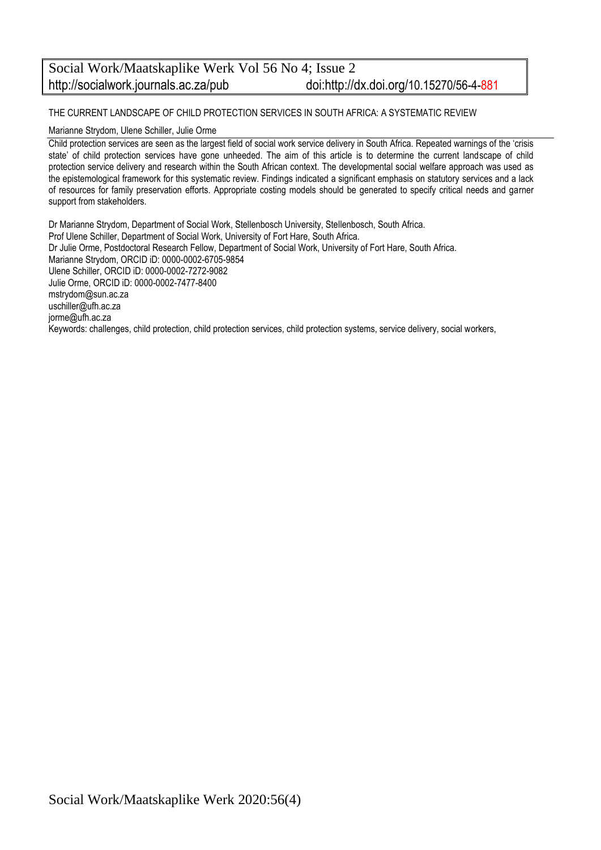# Social Work/Maatskaplike Werk Vol 56 No 4; Issue 2 http://socialwork.journals.ac.za/pub doi:http://dx.doi.org/10.15270/56-4-881

THE CURRENT LANDSCAPE OF CHILD PROTECTION SERVICES IN SOUTH AFRICA: A SYSTEMATIC REVIEW

Marianne Strydom, Ulene Schiller, Julie Orme

Child protection services are seen as the largest field of social work service delivery in South Africa. Repeated warnings of the 'crisis state' of child protection services have gone unheeded. The aim of this article is to determine the current landscape of child protection service delivery and research within the South African context. The developmental social welfare approach was used as the epistemological framework for this systematic review. Findings indicated a significant emphasis on statutory services and a lack of resources for family preservation efforts. Appropriate costing models should be generated to specify critical needs and garner support from stakeholders.

Dr Marianne Strydom, Department of Social Work, Stellenbosch University, Stellenbosch, South Africa. Prof Ulene Schiller, Department of Social Work, University of Fort Hare, South Africa. Dr Julie Orme, Postdoctoral Research Fellow, Department of Social Work, University of Fort Hare, South Africa. Marianne Strydom, ORCID iD: 0000-0002-6705-9854 [Ulene Schiller, ORCID iD: 0000-0002-7272-9082](https://orcid.org/0000-0002-7272-9082) Julie Orme, ORCID iD: [0000-0002-7477-8400](https://orcid.org/0000-0002-7477-8400)  [mstrydom@sun.ac.za](mailto:mstrydom@sun.ac.za) [uschiller@ufh.ac.za](mailto:uschiller@ufh.ac.za) [jorme@ufh.ac.za](mailto:jorme@ufh.ac.za) Keywords: challenges, child protection, child protection services, child protection systems, service delivery, social workers,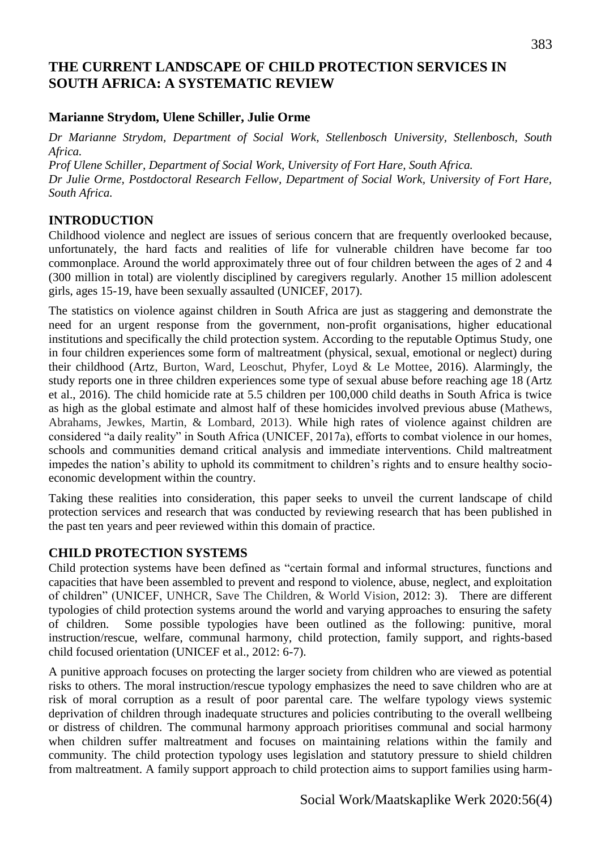# **THE CURRENT LANDSCAPE OF CHILD PROTECTION SERVICES IN SOUTH AFRICA: A SYSTEMATIC REVIEW**

## **Marianne Strydom, Ulene Schiller, Julie Orme**

*Dr Marianne Strydom, Department of Social Work, Stellenbosch University, Stellenbosch, South Africa.*

*Prof Ulene Schiller, Department of Social Work, University of Fort Hare, South Africa. Dr Julie Orme, Postdoctoral Research Fellow, Department of Social Work, University of Fort Hare, South Africa.*

## **INTRODUCTION**

Childhood violence and neglect are issues of serious concern that are frequently overlooked because, unfortunately, the hard facts and realities of life for vulnerable children have become far too commonplace. Around the world approximately three out of four children between the ages of 2 and 4 (300 million in total) are violently disciplined by caregivers regularly. Another 15 million adolescent girls, ages 15-19, have been sexually assaulted (UNICEF, 2017).

The statistics on violence against children in South Africa are just as staggering and demonstrate the need for an urgent response from the government, non-profit organisations, higher educational institutions and specifically the child protection system. According to the reputable Optimus Study, one in four children experiences some form of maltreatment (physical, sexual, emotional or neglect) during their childhood (Artz, Burton, Ward, Leoschut, Phyfer, Loyd & Le Mottee, 2016). Alarmingly, the study reports one in three children experiences some type of sexual abuse before reaching age 18 (Artz et al., 2016). The child homicide rate at 5.5 children per 100,000 child deaths in South Africa is twice as high as the global estimate and almost half of these homicides involved previous abuse (Mathews, Abrahams, Jewkes, Martin, & Lombard, 2013). While high rates of violence against children are considered "a daily reality" in South Africa (UNICEF, 2017a), efforts to combat violence in our homes, schools and communities demand critical analysis and immediate interventions. Child maltreatment impedes the nation's ability to uphold its commitment to children's rights and to ensure healthy socioeconomic development within the country.

Taking these realities into consideration, this paper seeks to unveil the current landscape of child protection services and research that was conducted by reviewing research that has been published in the past ten years and peer reviewed within this domain of practice.

## **CHILD PROTECTION SYSTEMS**

Child protection systems have been defined as "certain formal and informal structures, functions and capacities that have been assembled to prevent and respond to violence, abuse, neglect, and exploitation of children" (UNICEF, UNHCR, Save The Children, & World Vision, 2012: 3). There are different typologies of child protection systems around the world and varying approaches to ensuring the safety of children. Some possible typologies have been outlined as the following: punitive, moral instruction/rescue, welfare, communal harmony, child protection, family support, and rights-based child focused orientation (UNICEF et al., 2012: 6-7).

A punitive approach focuses on protecting the larger society from children who are viewed as potential risks to others. The moral instruction/rescue typology emphasizes the need to save children who are at risk of moral corruption as a result of poor parental care. The welfare typology views systemic deprivation of children through inadequate structures and policies contributing to the overall wellbeing or distress of children. The communal harmony approach prioritises communal and social harmony when children suffer maltreatment and focuses on maintaining relations within the family and community. The child protection typology uses legislation and statutory pressure to shield children from maltreatment. A family support approach to child protection aims to support families using harm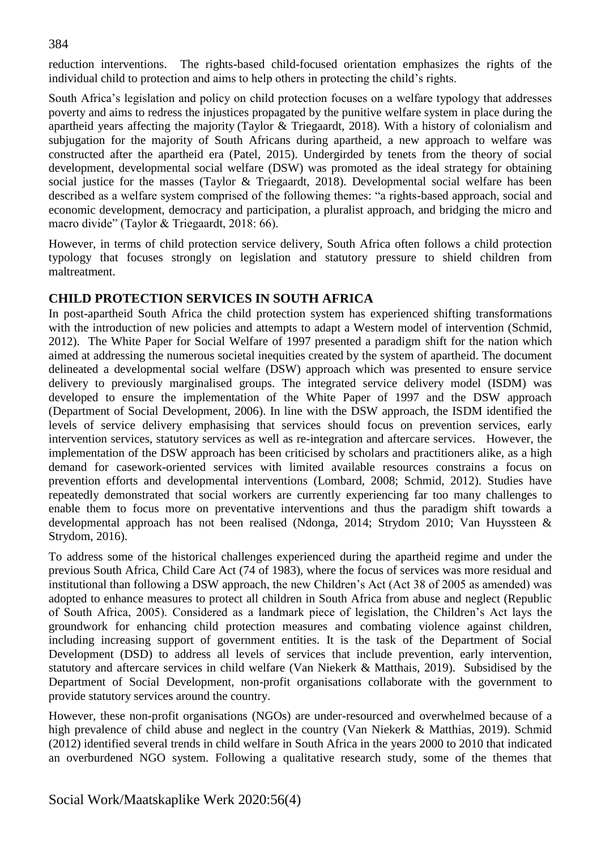reduction interventions. The rights-based child-focused orientation emphasizes the rights of the individual child to protection and aims to help others in protecting the child's rights.

South Africa's legislation and policy on child protection focuses on a welfare typology that addresses poverty and aims to redress the injustices propagated by the punitive welfare system in place during the apartheid years affecting the majority (Taylor & Triegaardt, 2018). With a history of colonialism and subjugation for the majority of South Africans during apartheid, a new approach to welfare was constructed after the apartheid era (Patel, 2015). Undergirded by tenets from the theory of social development, developmental social welfare (DSW) was promoted as the ideal strategy for obtaining social justice for the masses (Taylor & Triegaardt, 2018). Developmental social welfare has been described as a welfare system comprised of the following themes: "a rights-based approach, social and economic development, democracy and participation, a pluralist approach, and bridging the micro and macro divide" (Taylor & Triegaardt, 2018: 66).

However, in terms of child protection service delivery, South Africa often follows a child protection typology that focuses strongly on legislation and statutory pressure to shield children from maltreatment.

# **CHILD PROTECTION SERVICES IN SOUTH AFRICA**

In post-apartheid South Africa the child protection system has experienced shifting transformations with the introduction of new policies and attempts to adapt a Western model of intervention (Schmid, 2012). The White Paper for Social Welfare of 1997 presented a paradigm shift for the nation which aimed at addressing the numerous societal inequities created by the system of apartheid. The document delineated a developmental social welfare (DSW) approach which was presented to ensure service delivery to previously marginalised groups. The integrated service delivery model (ISDM) was developed to ensure the implementation of the White Paper of 1997 and the DSW approach (Department of Social Development, 2006). In line with the DSW approach, the ISDM identified the levels of service delivery emphasising that services should focus on prevention services, early intervention services, statutory services as well as re-integration and aftercare services. However, the implementation of the DSW approach has been criticised by scholars and practitioners alike, as a high demand for casework-oriented services with limited available resources constrains a focus on prevention efforts and developmental interventions (Lombard, 2008; Schmid, 2012). Studies have repeatedly demonstrated that social workers are currently experiencing far too many challenges to enable them to focus more on preventative interventions and thus the paradigm shift towards a developmental approach has not been realised (Ndonga, 2014; Strydom 2010; Van Huyssteen & Strydom, 2016).

To address some of the historical challenges experienced during the apartheid regime and under the previous South Africa, Child Care Act (74 of 1983), where the focus of services was more residual and institutional than following a DSW approach, the new Children's Act (Act 38 of 2005 as amended) was adopted to enhance measures to protect all children in South Africa from abuse and neglect (Republic of South Africa, 2005). Considered as a landmark piece of legislation, the Children's Act lays the groundwork for enhancing child protection measures and combating violence against children, including increasing support of government entities. It is the task of the Department of Social Development (DSD) to address all levels of services that include prevention, early intervention, statutory and aftercare services in child welfare (Van Niekerk & Matthais, 2019). Subsidised by the Department of Social Development, non-profit organisations collaborate with the government to provide statutory services around the country.

However, these non-profit organisations (NGOs) are under-resourced and overwhelmed because of a high prevalence of child abuse and neglect in the country (Van Niekerk & Matthias, 2019). Schmid (2012) identified several trends in child welfare in South Africa in the years 2000 to 2010 that indicated an overburdened NGO system. Following a qualitative research study, some of the themes that

#### 384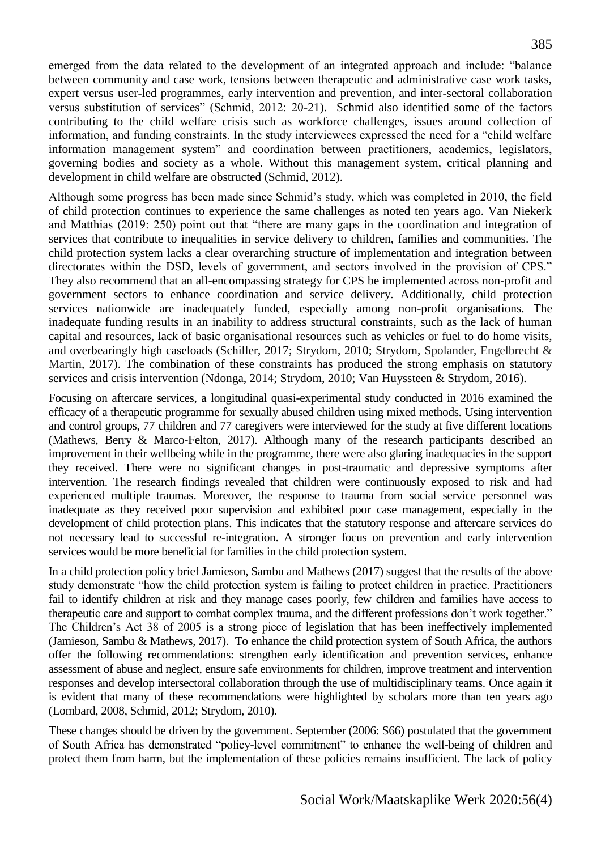emerged from the data related to the development of an integrated approach and include: "balance between community and case work, tensions between therapeutic and administrative case work tasks, expert versus user-led programmes, early intervention and prevention, and inter-sectoral collaboration versus substitution of services" (Schmid, 2012: 20-21). Schmid also identified some of the factors contributing to the child welfare crisis such as workforce challenges, issues around collection of information, and funding constraints. In the study interviewees expressed the need for a "child welfare information management system" and coordination between practitioners, academics, legislators, governing bodies and society as a whole. Without this management system, critical planning and development in child welfare are obstructed (Schmid, 2012).

Although some progress has been made since Schmid's study, which was completed in 2010, the field of child protection continues to experience the same challenges as noted ten years ago. Van Niekerk and Matthias (2019: 250) point out that "there are many gaps in the coordination and integration of services that contribute to inequalities in service delivery to children, families and communities. The child protection system lacks a clear overarching structure of implementation and integration between directorates within the DSD, levels of government, and sectors involved in the provision of CPS." They also recommend that an all-encompassing strategy for CPS be implemented across non-profit and government sectors to enhance coordination and service delivery. Additionally, child protection services nationwide are inadequately funded, especially among non-profit organisations. The inadequate funding results in an inability to address structural constraints, such as the lack of human capital and resources, lack of basic organisational resources such as vehicles or fuel to do home visits, and overbearingly high caseloads (Schiller, 2017; Strydom, 2010; Strydom, Spolander, Engelbrecht & Martin, 2017). The combination of these constraints has produced the strong emphasis on statutory services and crisis intervention (Ndonga, 2014; Strydom, 2010; Van Huyssteen & Strydom, 2016).

Focusing on aftercare services, a longitudinal quasi-experimental study conducted in 2016 examined the efficacy of a therapeutic programme for sexually abused children using mixed methods. Using intervention and control groups, 77 children and 77 caregivers were interviewed for the study at five different locations (Mathews, Berry & Marco-Felton, 2017). Although many of the research participants described an improvement in their wellbeing while in the programme, there were also glaring inadequacies in the support they received. There were no significant changes in post-traumatic and depressive symptoms after intervention. The research findings revealed that children were continuously exposed to risk and had experienced multiple traumas. Moreover, the response to trauma from social service personnel was inadequate as they received poor supervision and exhibited poor case management, especially in the development of child protection plans. This indicates that the statutory response and aftercare services do not necessary lead to successful re-integration. A stronger focus on prevention and early intervention services would be more beneficial for families in the child protection system.

In a child protection policy brief Jamieson, Sambu and Mathews (2017) suggest that the results of the above study demonstrate "how the child protection system is failing to protect children in practice. Practitioners fail to identify children at risk and they manage cases poorly, few children and families have access to therapeutic care and support to combat complex trauma, and the different professions don't work together." The Children's Act 38 of 2005 is a strong piece of legislation that has been ineffectively implemented (Jamieson, Sambu & Mathews, 2017). To enhance the child protection system of South Africa, the authors offer the following recommendations: strengthen early identification and prevention services, enhance assessment of abuse and neglect, ensure safe environments for children, improve treatment and intervention responses and develop intersectoral collaboration through the use of multidisciplinary teams. Once again it is evident that many of these recommendations were highlighted by scholars more than ten years ago (Lombard, 2008, Schmid, 2012; Strydom, 2010).

These changes should be driven by the government. September (2006: S66) postulated that the government of South Africa has demonstrated "policy-level commitment" to enhance the well-being of children and protect them from harm, but the implementation of these policies remains insufficient. The lack of policy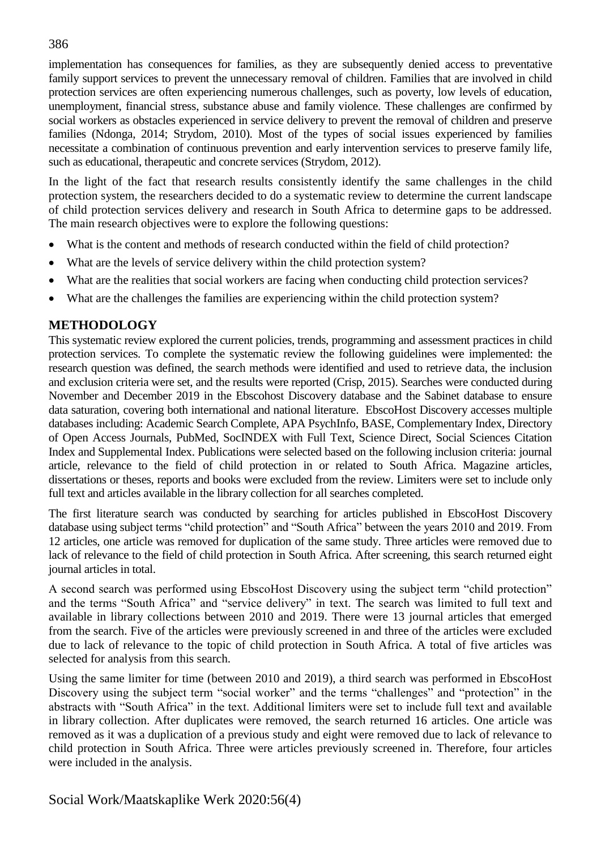implementation has consequences for families, as they are subsequently denied access to preventative family support services to prevent the unnecessary removal of children. Families that are involved in child protection services are often experiencing numerous challenges, such as poverty, low levels of education, unemployment, financial stress, substance abuse and family violence. These challenges are confirmed by social workers as obstacles experienced in service delivery to prevent the removal of children and preserve families (Ndonga, 2014; Strydom, 2010). Most of the types of social issues experienced by families necessitate a combination of continuous prevention and early intervention services to preserve family life, such as educational, therapeutic and concrete services (Strydom, 2012).

In the light of the fact that research results consistently identify the same challenges in the child protection system, the researchers decided to do a systematic review to determine the current landscape of child protection services delivery and research in South Africa to determine gaps to be addressed. The main research objectives were to explore the following questions:

- What is the content and methods of research conducted within the field of child protection?
- What are the levels of service delivery within the child protection system?
- What are the realities that social workers are facing when conducting child protection services?
- What are the challenges the families are experiencing within the child protection system?

## **METHODOLOGY**

This systematic review explored the current policies, trends, programming and assessment practices in child protection services. To complete the systematic review the following guidelines were implemented: the research question was defined, the search methods were identified and used to retrieve data, the inclusion and exclusion criteria were set, and the results were reported (Crisp, 2015). Searches were conducted during November and December 2019 in the Ebscohost Discovery database and the Sabinet database to ensure data saturation, covering both international and national literature. EbscoHost Discovery accesses multiple databases including: Academic Search Complete, APA PsychInfo, BASE, Complementary Index, Directory of Open Access Journals, PubMed, SocINDEX with Full Text, Science Direct, Social Sciences Citation Index and Supplemental Index. Publications were selected based on the following inclusion criteria: journal article, relevance to the field of child protection in or related to South Africa. Magazine articles, dissertations or theses, reports and books were excluded from the review. Limiters were set to include only full text and articles available in the library collection for all searches completed.

The first literature search was conducted by searching for articles published in EbscoHost Discovery database using subject terms "child protection" and "South Africa" between the years 2010 and 2019. From 12 articles, one article was removed for duplication of the same study. Three articles were removed due to lack of relevance to the field of child protection in South Africa. After screening, this search returned eight journal articles in total.

A second search was performed using EbscoHost Discovery using the subject term "child protection" and the terms "South Africa" and "service delivery" in text. The search was limited to full text and available in library collections between 2010 and 2019. There were 13 journal articles that emerged from the search. Five of the articles were previously screened in and three of the articles were excluded due to lack of relevance to the topic of child protection in South Africa. A total of five articles was selected for analysis from this search.

Using the same limiter for time (between 2010 and 2019), a third search was performed in EbscoHost Discovery using the subject term "social worker" and the terms "challenges" and "protection" in the abstracts with "South Africa" in the text. Additional limiters were set to include full text and available in library collection. After duplicates were removed, the search returned 16 articles. One article was removed as it was a duplication of a previous study and eight were removed due to lack of relevance to child protection in South Africa. Three were articles previously screened in. Therefore, four articles were included in the analysis.

## 386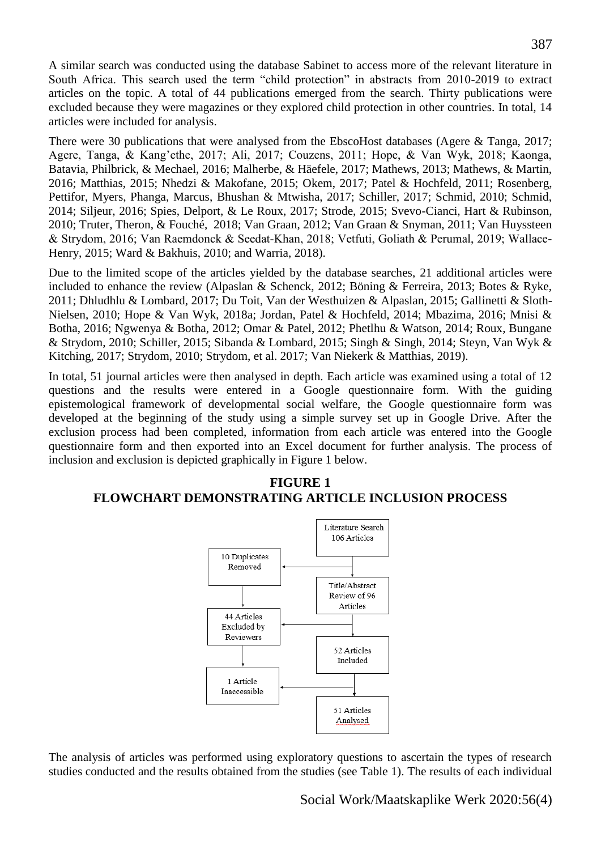A similar search was conducted using the database Sabinet to access more of the relevant literature in South Africa. This search used the term "child protection" in abstracts from 2010-2019 to extract articles on the topic. A total of 44 publications emerged from the search. Thirty publications were excluded because they were magazines or they explored child protection in other countries. In total, 14 articles were included for analysis.

There were 30 publications that were analysed from the EbscoHost databases (Agere & Tanga, 2017; Agere, Tanga, & Kang'ethe, 2017; Ali, 2017; Couzens, 2011; Hope, & Van Wyk, 2018; Kaonga, Batavia, Philbrick, & Mechael, 2016; Malherbe, & Häefele, 2017; Mathews, 2013; Mathews, & Martin, 2016; Matthias, 2015; Nhedzi & Makofane, 2015; Okem, 2017; Patel & Hochfeld, 2011; Rosenberg, Pettifor, Myers, Phanga, Marcus, Bhushan & Mtwisha, 2017; Schiller, 2017; Schmid, 2010; Schmid, 2014; Siljeur, 2016; Spies, Delport, & Le Roux, 2017; Strode, 2015; Svevo-Cianci, Hart & Rubinson, 2010; Truter, Theron, & Fouché, 2018; Van Graan, 2012; Van Graan & Snyman, 2011; Van Huyssteen & Strydom, 2016; Van Raemdonck & Seedat‐Khan, 2018; Vetfuti, Goliath & Perumal, 2019; Wallace-Henry, 2015; Ward & Bakhuis, 2010; and Warria, 2018).

Due to the limited scope of the articles yielded by the database searches, 21 additional articles were included to enhance the review (Alpaslan & Schenck, 2012; Böning & Ferreira, 2013; Botes & Ryke, 2011; Dhludhlu & Lombard, 2017; Du Toit, Van der Westhuizen & Alpaslan, 2015; Gallinetti & Sloth-Nielsen, 2010; Hope & Van Wyk, 2018a; Jordan, Patel & Hochfeld, 2014; Mbazima, 2016; Mnisi & Botha, 2016; Ngwenya & Botha, 2012; Omar & Patel, 2012; Phetlhu & Watson, 2014; Roux, Bungane & Strydom, 2010; Schiller, 2015; Sibanda & Lombard, 2015; Singh & Singh, 2014; Steyn, Van Wyk & Kitching, 2017; Strydom, 2010; Strydom, et al. 2017; Van Niekerk & Matthias, 2019).

In total, 51 journal articles were then analysed in depth. Each article was examined using a total of 12 questions and the results were entered in a Google questionnaire form. With the guiding epistemological framework of developmental social welfare, the Google questionnaire form was developed at the beginning of the study using a simple survey set up in Google Drive. After the exclusion process had been completed, information from each article was entered into the Google questionnaire form and then exported into an Excel document for further analysis. The process of inclusion and exclusion is depicted graphically in Figure 1 below.

#### **FIGURE 1 FLOWCHART DEMONSTRATING ARTICLE INCLUSION PROCESS**



The analysis of articles was performed using exploratory questions to ascertain the types of research studies conducted and the results obtained from the studies (see Table 1). The results of each individual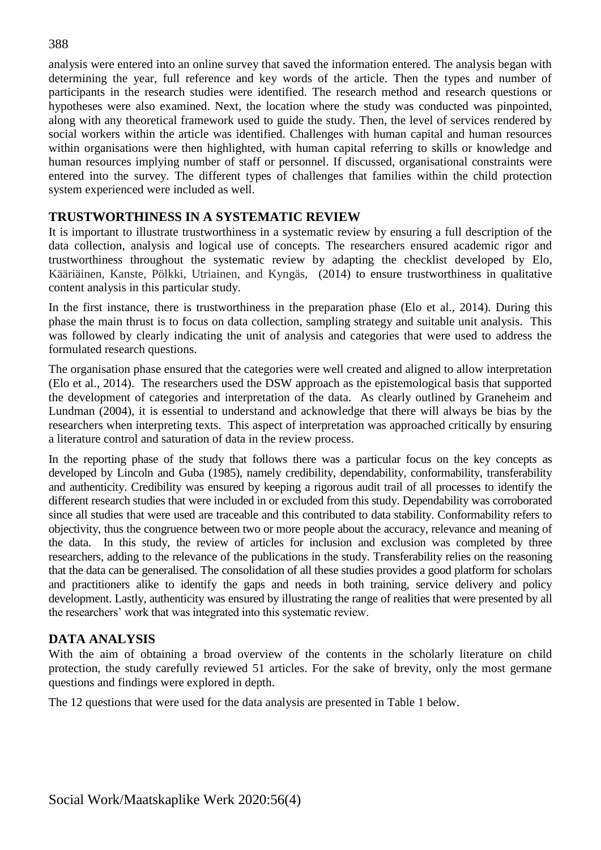analysis were entered into an online survey that saved the information entered. The analysis began with determining the year, full reference and key words of the article. Then the types and number of participants in the research studies were identified. The research method and research questions or hypotheses were also examined. Next, the location where the study was conducted was pinpointed, along with any theoretical framework used to guide the study. Then, the level of services rendered by social workers within the article was identified. Challenges with human capital and human resources within organisations were then highlighted, with human capital referring to skills or knowledge and human resources implying number of staff or personnel. If discussed, organisational constraints were entered into the survey. The different types of challenges that families within the child protection system experienced were included as well.

## **TRUSTWORTHINESS IN A SYSTEMATIC REVIEW**

It is important to illustrate trustworthiness in a systematic review by ensuring a full description of the data collection, analysis and logical use of concepts. The researchers ensured academic rigor and trustworthiness throughout the systematic review by adapting the checklist developed by Elo, Kääriäinen, Kanste, Pölkki, Utriainen, and Kyngäs, (2014) to ensure trustworthiness in qualitative content analysis in this particular study.

In the first instance, there is trustworthiness in the preparation phase (Elo et al., 2014). During this phase the main thrust is to focus on data collection, sampling strategy and suitable unit analysis. This was followed by clearly indicating the unit of analysis and categories that were used to address the formulated research questions.

The organisation phase ensured that the categories were well created and aligned to allow interpretation (Elo et al., 2014). The researchers used the DSW approach as the epistemological basis that supported the development of categories and interpretation of the data. As clearly outlined by Graneheim and Lundman (2004), it is essential to understand and acknowledge that there will always be bias by the researchers when interpreting texts. This aspect of interpretation was approached critically by ensuring a literature control and saturation of data in the review process.

In the reporting phase of the study that follows there was a particular focus on the key concepts as developed by Lincoln and Guba (1985), namely credibility, dependability, conformability, transferability and authenticity. Credibility was ensured by keeping a rigorous audit trail of all processes to identify the different research studies that were included in or excluded from this study. Dependability was corroborated since all studies that were used are traceable and this contributed to data stability. Conformability refers to objectivity, thus the congruence between two or more people about the accuracy, relevance and meaning of the data. In this study, the review of articles for inclusion and exclusion was completed by three researchers, adding to the relevance of the publications in the study. Transferability relies on the reasoning that the data can be generalised. The consolidation of all these studies provides a good platform for scholars and practitioners alike to identify the gaps and needs in both training, service delivery and policy development. Lastly, authenticity was ensured by illustrating the range of realities that were presented by all the researchers' work that was integrated into this systematic review.

# **DATA ANALYSIS**

With the aim of obtaining a broad overview of the contents in the scholarly literature on child protection, the study carefully reviewed 51 articles. For the sake of brevity, only the most germane questions and findings were explored in depth.

The 12 questions that were used for the data analysis are presented in Table 1 below.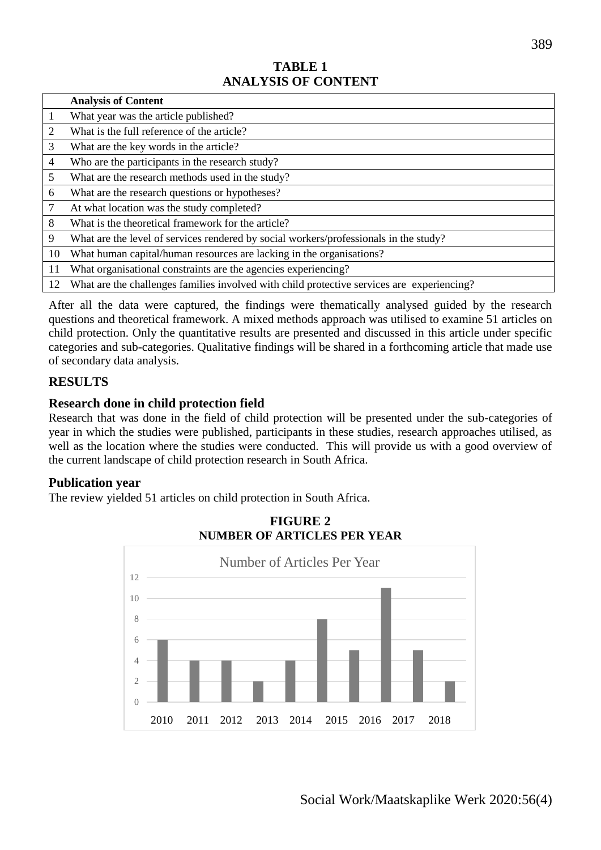## **TABLE 1 ANALYSIS OF CONTENT**

|                | <b>Analysis of Content</b>                                                                 |
|----------------|--------------------------------------------------------------------------------------------|
| 1              | What year was the article published?                                                       |
| 2              | What is the full reference of the article?                                                 |
| 3              | What are the key words in the article?                                                     |
| $\overline{4}$ | Who are the participants in the research study?                                            |
| 5              | What are the research methods used in the study?                                           |
| 6              | What are the research questions or hypotheses?                                             |
| 7              | At what location was the study completed?                                                  |
| 8              | What is the theoretical framework for the article?                                         |
| 9              | What are the level of services rendered by social workers/professionals in the study?      |
| 10             | What human capital/human resources are lacking in the organisations?                       |
| 11             | What organisational constraints are the agencies experiencing?                             |
| 12             | What are the challenges families involved with child protective services are experiencing? |

After all the data were captured, the findings were thematically analysed guided by the research questions and theoretical framework. A mixed methods approach was utilised to examine 51 articles on child protection. Only the quantitative results are presented and discussed in this article under specific categories and sub-categories. Qualitative findings will be shared in a forthcoming article that made use of secondary data analysis.

## **RESULTS**

## **Research done in child protection field**

Research that was done in the field of child protection will be presented under the sub-categories of year in which the studies were published, participants in these studies, research approaches utilised, as well as the location where the studies were conducted. This will provide us with a good overview of the current landscape of child protection research in South Africa.

#### **Publication year**

The review yielded 51 articles on child protection in South Africa.



**FIGURE 2 NUMBER OF ARTICLES PER YEAR**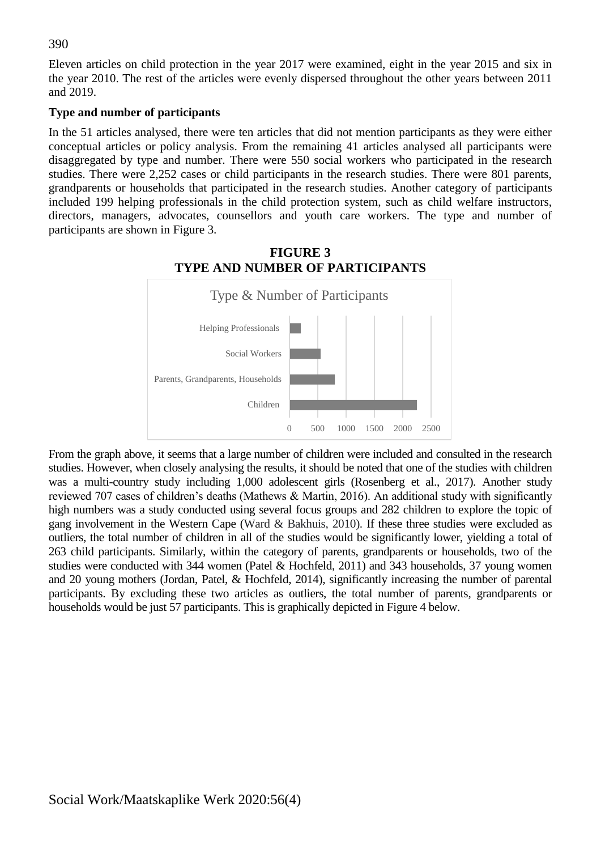Eleven articles on child protection in the year 2017 were examined, eight in the year 2015 and six in the year 2010. The rest of the articles were evenly dispersed throughout the other years between 2011 and 2019.

#### **Type and number of participants**

In the 51 articles analysed, there were ten articles that did not mention participants as they were either conceptual articles or policy analysis. From the remaining 41 articles analysed all participants were disaggregated by type and number. There were 550 social workers who participated in the research studies. There were 2,252 cases or child participants in the research studies. There were 801 parents, grandparents or households that participated in the research studies. Another category of participants included 199 helping professionals in the child protection system, such as child welfare instructors, directors, managers, advocates, counsellors and youth care workers. The type and number of participants are shown in Figure 3.



From the graph above, it seems that a large number of children were included and consulted in the research studies. However, when closely analysing the results, it should be noted that one of the studies with children was a multi-country study including 1,000 adolescent girls (Rosenberg et al., 2017). Another study reviewed 707 cases of children's deaths (Mathews & Martin, 2016). An additional study with significantly high numbers was a study conducted using several focus groups and 282 children to explore the topic of gang involvement in the Western Cape (Ward & Bakhuis, 2010). If these three studies were excluded as outliers, the total number of children in all of the studies would be significantly lower, yielding a total of 263 child participants. Similarly, within the category of parents, grandparents or households, two of the studies were conducted with 344 women (Patel & Hochfeld, 2011) and 343 households, 37 young women and 20 young mothers (Jordan, Patel, & Hochfeld, 2014), significantly increasing the number of parental participants. By excluding these two articles as outliers, the total number of parents, grandparents or households would be just 57 participants. This is graphically depicted in Figure 4 below.

390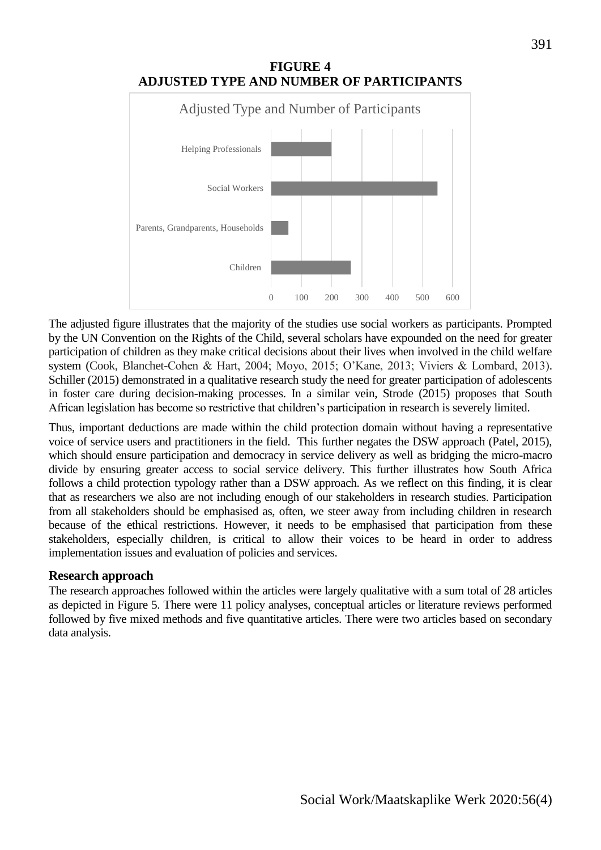

The adjusted figure illustrates that the majority of the studies use social workers as participants. Prompted by the UN Convention on the Rights of the Child, several scholars have expounded on the need for greater participation of children as they make critical decisions about their lives when involved in the child welfare system (Cook, Blanchet-Cohen & Hart, 2004; Moyo, 2015; O'Kane, 2013; Viviers & Lombard, 2013). Schiller (2015) demonstrated in a qualitative research study the need for greater participation of adolescents in foster care during decision-making processes. In a similar vein, Strode (2015) proposes that South African legislation has become so restrictive that children's participation in research is severely limited.

Thus, important deductions are made within the child protection domain without having a representative voice of service users and practitioners in the field. This further negates the DSW approach (Patel, 2015), which should ensure participation and democracy in service delivery as well as bridging the micro-macro divide by ensuring greater access to social service delivery. This further illustrates how South Africa follows a child protection typology rather than a DSW approach. As we reflect on this finding, it is clear that as researchers we also are not including enough of our stakeholders in research studies. Participation from all stakeholders should be emphasised as, often, we steer away from including children in research because of the ethical restrictions. However, it needs to be emphasised that participation from these stakeholders, especially children, is critical to allow their voices to be heard in order to address implementation issues and evaluation of policies and services.

#### **Research approach**

The research approaches followed within the articles were largely qualitative with a sum total of 28 articles as depicted in Figure 5. There were 11 policy analyses, conceptual articles or literature reviews performed followed by five mixed methods and five quantitative articles. There were two articles based on secondary data analysis.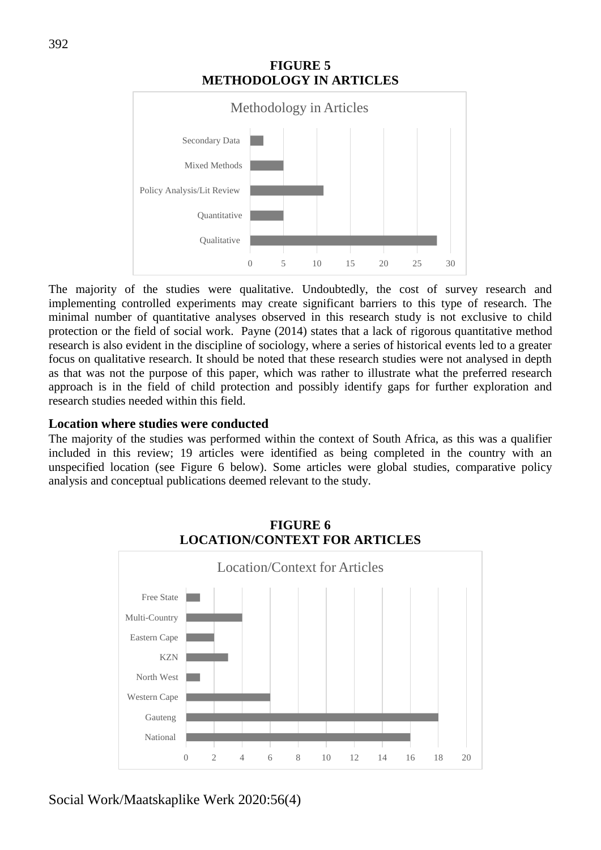

The majority of the studies were qualitative. Undoubtedly, the cost of survey research and implementing controlled experiments may create significant barriers to this type of research. The minimal number of quantitative analyses observed in this research study is not exclusive to child protection or the field of social work. Payne (2014) states that a lack of rigorous quantitative method research is also evident in the discipline of sociology, where a series of historical events led to a greater focus on qualitative research. It should be noted that these research studies were not analysed in depth as that was not the purpose of this paper, which was rather to illustrate what the preferred research approach is in the field of child protection and possibly identify gaps for further exploration and research studies needed within this field.

#### **Location where studies were conducted**

The majority of the studies was performed within the context of South Africa, as this was a qualifier included in this review; 19 articles were identified as being completed in the country with an unspecified location (see Figure 6 below). Some articles were global studies, comparative policy analysis and conceptual publications deemed relevant to the study.



#### **FIGURE 6 LOCATION/CONTEXT FOR ARTICLES**

Social Work/Maatskaplike Werk 2020:56(4)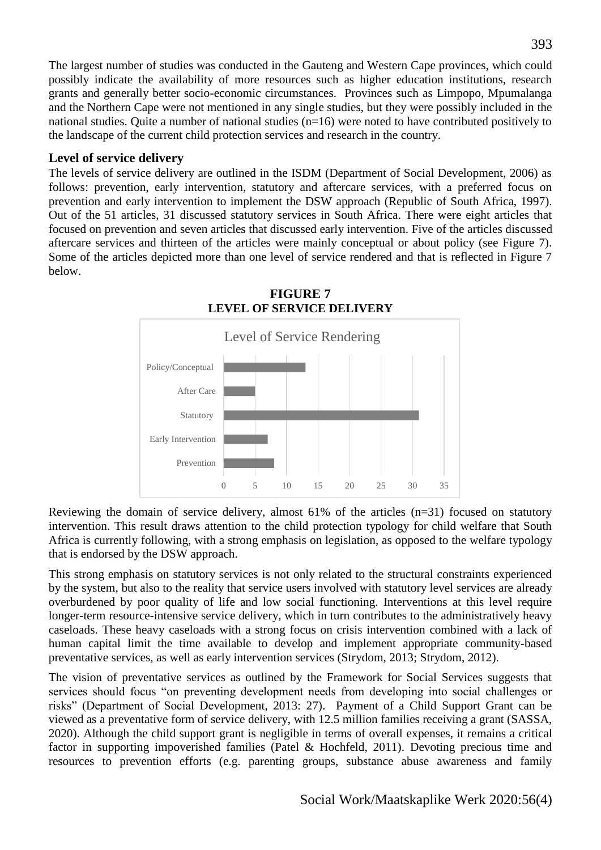The largest number of studies was conducted in the Gauteng and Western Cape provinces, which could possibly indicate the availability of more resources such as higher education institutions, research grants and generally better socio-economic circumstances. Provinces such as Limpopo, Mpumalanga and the Northern Cape were not mentioned in any single studies, but they were possibly included in the national studies. Quite a number of national studies (n=16) were noted to have contributed positively to the landscape of the current child protection services and research in the country.

## **Level of service delivery**

The levels of service delivery are outlined in the ISDM (Department of Social Development, 2006) as follows: prevention, early intervention, statutory and aftercare services, with a preferred focus on prevention and early intervention to implement the DSW approach (Republic of South Africa, 1997). Out of the 51 articles, 31 discussed statutory services in South Africa. There were eight articles that focused on prevention and seven articles that discussed early intervention. Five of the articles discussed aftercare services and thirteen of the articles were mainly conceptual or about policy (see Figure 7). Some of the articles depicted more than one level of service rendered and that is reflected in Figure 7 below.



Reviewing the domain of service delivery, almost 61% of the articles (n=31) focused on statutory intervention. This result draws attention to the child protection typology for child welfare that South Africa is currently following, with a strong emphasis on legislation, as opposed to the welfare typology that is endorsed by the DSW approach.

This strong emphasis on statutory services is not only related to the structural constraints experienced by the system, but also to the reality that service users involved with statutory level services are already overburdened by poor quality of life and low social functioning. Interventions at this level require longer-term resource-intensive service delivery, which in turn contributes to the administratively heavy caseloads. These heavy caseloads with a strong focus on crisis intervention combined with a lack of human capital limit the time available to develop and implement appropriate community-based preventative services, as well as early intervention services (Strydom, 2013; Strydom, 2012).

The vision of preventative services as outlined by the Framework for Social Services suggests that services should focus "on preventing development needs from developing into social challenges or risks" (Department of Social Development, 2013: 27). Payment of a Child Support Grant can be viewed as a preventative form of service delivery, with 12.5 million families receiving a grant (SASSA, 2020). Although the child support grant is negligible in terms of overall expenses, it remains a critical factor in supporting impoverished families (Patel & Hochfeld, 2011). Devoting precious time and resources to prevention efforts (e.g. parenting groups, substance abuse awareness and family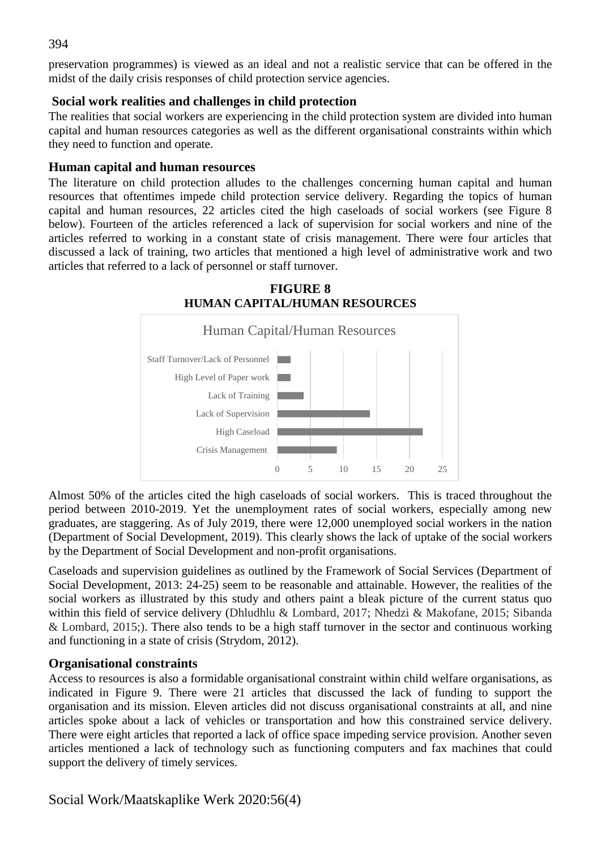preservation programmes) is viewed as an ideal and not a realistic service that can be offered in the midst of the daily crisis responses of child protection service agencies.

#### **Social work realities and challenges in child protection**

The realities that social workers are experiencing in the child protection system are divided into human capital and human resources categories as well as the different organisational constraints within which they need to function and operate.

## **Human capital and human resources**

The literature on child protection alludes to the challenges concerning human capital and human resources that oftentimes impede child protection service delivery. Regarding the topics of human capital and human resources, 22 articles cited the high caseloads of social workers (see Figure 8 below). Fourteen of the articles referenced a lack of supervision for social workers and nine of the articles referred to working in a constant state of crisis management. There were four articles that discussed a lack of training, two articles that mentioned a high level of administrative work and two articles that referred to a lack of personnel or staff turnover.



Almost 50% of the articles cited the high caseloads of social workers. This is traced throughout the period between 2010-2019. Yet the unemployment rates of social workers, especially among new graduates, are staggering. As of July 2019, there were 12,000 unemployed social workers in the nation (Department of Social Development, 2019). This clearly shows the lack of uptake of the social workers by the Department of Social Development and non-profit organisations.

Caseloads and supervision guidelines as outlined by the Framework of Social Services (Department of Social Development, 2013: 24-25) seem to be reasonable and attainable. However, the realities of the social workers as illustrated by this study and others paint a bleak picture of the current status quo within this field of service delivery (Dhludhlu & Lombard, 2017; Nhedzi & Makofane, 2015; Sibanda & Lombard, 2015;). There also tends to be a high staff turnover in the sector and continuous working and functioning in a state of crisis (Strydom, 2012).

## **Organisational constraints**

Access to resources is also a formidable organisational constraint within child welfare organisations, as indicated in Figure 9. There were 21 articles that discussed the lack of funding to support the organisation and its mission. Eleven articles did not discuss organisational constraints at all, and nine articles spoke about a lack of vehicles or transportation and how this constrained service delivery. There were eight articles that reported a lack of office space impeding service provision. Another seven articles mentioned a lack of technology such as functioning computers and fax machines that could support the delivery of timely services.

Social Work/Maatskaplike Werk 2020:56(4)

394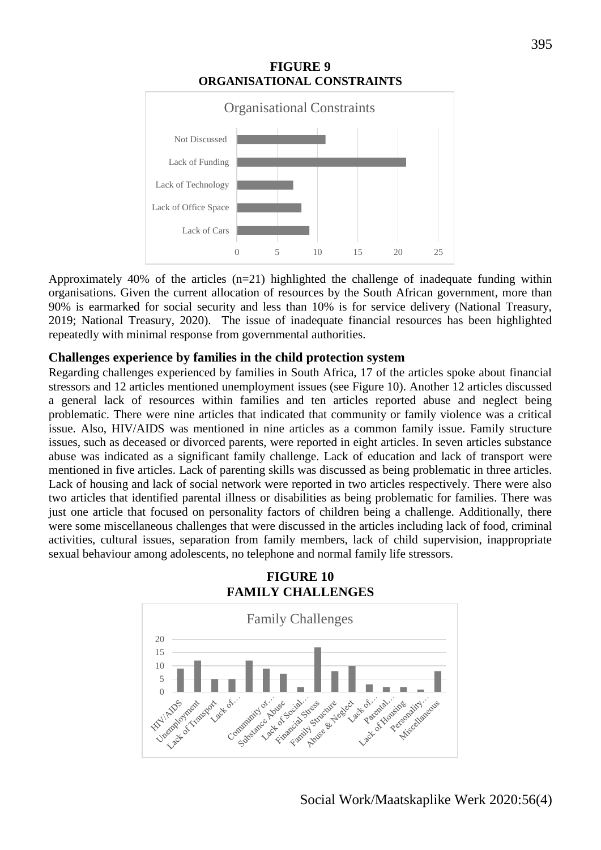

Approximately 40% of the articles  $(n=21)$  highlighted the challenge of inadequate funding within organisations. Given the current allocation of resources by the South African government, more than 90% is earmarked for social security and less than 10% is for service delivery (National Treasury, 2019; National Treasury, 2020). The issue of inadequate financial resources has been highlighted repeatedly with minimal response from governmental authorities.

#### **Challenges experience by families in the child protection system**

Regarding challenges experienced by families in South Africa, 17 of the articles spoke about financial stressors and 12 articles mentioned unemployment issues (see Figure 10). Another 12 articles discussed a general lack of resources within families and ten articles reported abuse and neglect being problematic. There were nine articles that indicated that community or family violence was a critical issue. Also, HIV/AIDS was mentioned in nine articles as a common family issue. Family structure issues, such as deceased or divorced parents, were reported in eight articles. In seven articles substance abuse was indicated as a significant family challenge. Lack of education and lack of transport were mentioned in five articles. Lack of parenting skills was discussed as being problematic in three articles. Lack of housing and lack of social network were reported in two articles respectively. There were also two articles that identified parental illness or disabilities as being problematic for families. There was just one article that focused on personality factors of children being a challenge. Additionally, there were some miscellaneous challenges that were discussed in the articles including lack of food, criminal activities, cultural issues, separation from family members, lack of child supervision, inappropriate sexual behaviour among adolescents, no telephone and normal family life stressors.

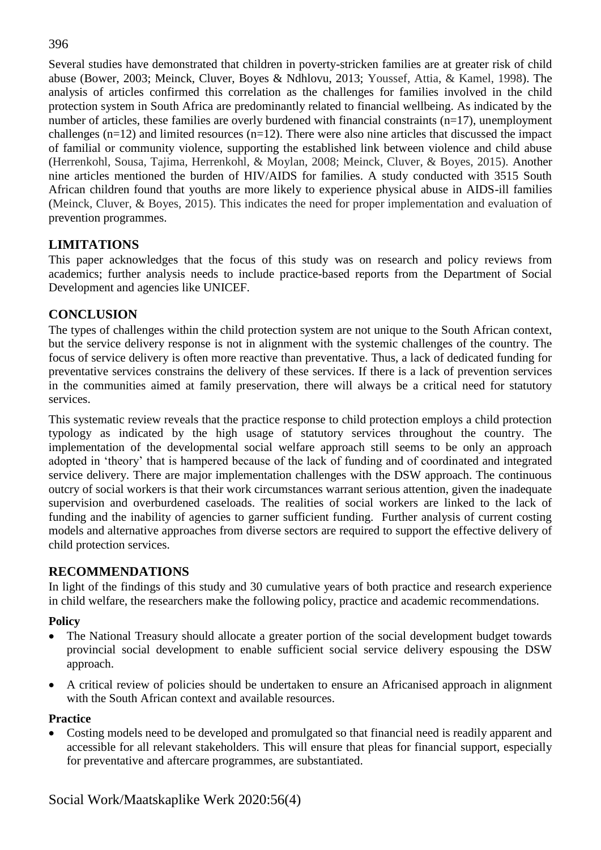## 396

Several studies have demonstrated that children in poverty-stricken families are at greater risk of child abuse (Bower, 2003; Meinck, Cluver, Boyes & Ndhlovu, 2013; Youssef, Attia, & Kamel, 1998). The analysis of articles confirmed this correlation as the challenges for families involved in the child protection system in South Africa are predominantly related to financial wellbeing. As indicated by the number of articles, these families are overly burdened with financial constraints (n=17), unemployment challenges  $(n=12)$  and limited resources  $(n=12)$ . There were also nine articles that discussed the impact of familial or community violence, supporting the established link between violence and child abuse (Herrenkohl, Sousa, Tajima, Herrenkohl, & Moylan, 2008; Meinck, Cluver, & Boyes, 2015). Another nine articles mentioned the burden of HIV/AIDS for families. A study conducted with 3515 South African children found that youths are more likely to experience physical abuse in AIDS-ill families (Meinck, Cluver, & Boyes, 2015). This indicates the need for proper implementation and evaluation of prevention programmes.

# **LIMITATIONS**

This paper acknowledges that the focus of this study was on research and policy reviews from academics; further analysis needs to include practice-based reports from the Department of Social Development and agencies like UNICEF.

# **CONCLUSION**

The types of challenges within the child protection system are not unique to the South African context, but the service delivery response is not in alignment with the systemic challenges of the country. The focus of service delivery is often more reactive than preventative. Thus, a lack of dedicated funding for preventative services constrains the delivery of these services. If there is a lack of prevention services in the communities aimed at family preservation, there will always be a critical need for statutory services.

This systematic review reveals that the practice response to child protection employs a child protection typology as indicated by the high usage of statutory services throughout the country. The implementation of the developmental social welfare approach still seems to be only an approach adopted in 'theory' that is hampered because of the lack of funding and of coordinated and integrated service delivery. There are major implementation challenges with the DSW approach. The continuous outcry of social workers is that their work circumstances warrant serious attention, given the inadequate supervision and overburdened caseloads. The realities of social workers are linked to the lack of funding and the inability of agencies to garner sufficient funding. Further analysis of current costing models and alternative approaches from diverse sectors are required to support the effective delivery of child protection services.

# **RECOMMENDATIONS**

In light of the findings of this study and 30 cumulative years of both practice and research experience in child welfare, the researchers make the following policy, practice and academic recommendations.

## **Policy**

- The National Treasury should allocate a greater portion of the social development budget towards provincial social development to enable sufficient social service delivery espousing the DSW approach.
- A critical review of policies should be undertaken to ensure an Africanised approach in alignment with the South African context and available resources.

## **Practice**

 Costing models need to be developed and promulgated so that financial need is readily apparent and accessible for all relevant stakeholders. This will ensure that pleas for financial support, especially for preventative and aftercare programmes, are substantiated.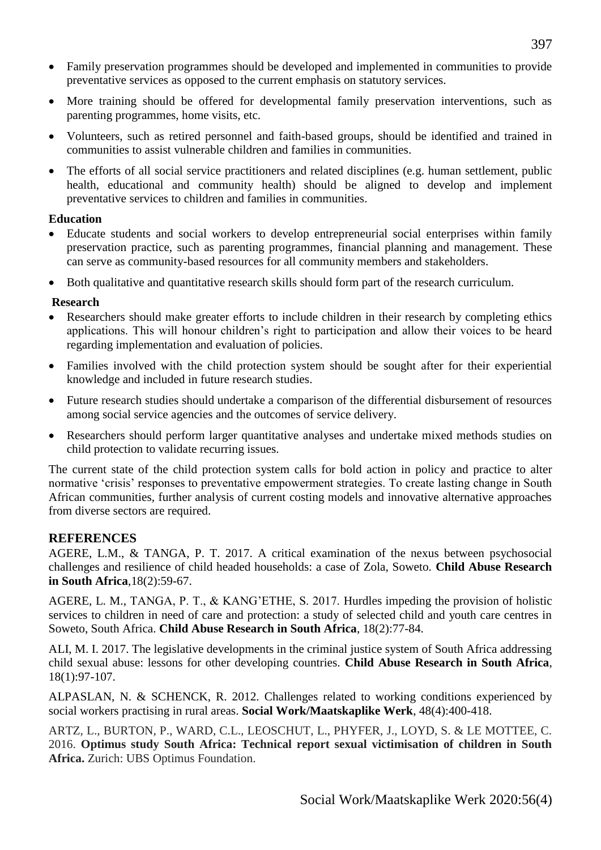- Family preservation programmes should be developed and implemented in communities to provide preventative services as opposed to the current emphasis on statutory services.
- More training should be offered for developmental family preservation interventions, such as parenting programmes, home visits, etc.
- Volunteers, such as retired personnel and faith-based groups, should be identified and trained in communities to assist vulnerable children and families in communities.
- The efforts of all social service practitioners and related disciplines (e.g. human settlement, public health, educational and community health) should be aligned to develop and implement preventative services to children and families in communities.

#### **Education**

- Educate students and social workers to develop entrepreneurial social enterprises within family preservation practice, such as parenting programmes, financial planning and management. These can serve as community-based resources for all community members and stakeholders.
- Both qualitative and quantitative research skills should form part of the research curriculum.

#### **Research**

- Researchers should make greater efforts to include children in their research by completing ethics applications. This will honour children's right to participation and allow their voices to be heard regarding implementation and evaluation of policies.
- Families involved with the child protection system should be sought after for their experiential knowledge and included in future research studies.
- Future research studies should undertake a comparison of the differential disbursement of resources among social service agencies and the outcomes of service delivery.
- Researchers should perform larger quantitative analyses and undertake mixed methods studies on child protection to validate recurring issues.

The current state of the child protection system calls for bold action in policy and practice to alter normative 'crisis' responses to preventative empowerment strategies. To create lasting change in South African communities, further analysis of current costing models and innovative alternative approaches from diverse sectors are required.

#### **REFERENCES**

AGERE, L.M., & TANGA, P. T. 2017. A critical examination of the nexus between psychosocial challenges and resilience of child headed households: a case of Zola, Soweto. **Child Abuse Research in South Africa**,18(2):59-67.

AGERE, L. M., TANGA, P. T., & KANG'ETHE, S. 2017. Hurdles impeding the provision of holistic services to children in need of care and protection: a study of selected child and youth care centres in Soweto, South Africa. **Child Abuse Research in South Africa**, 18(2):77-84.

ALI, M. I. 2017. The legislative developments in the criminal justice system of South Africa addressing child sexual abuse: lessons for other developing countries. **Child Abuse Research in South Africa**, 18(1):97-107.

ALPASLAN, N. & SCHENCK, R. 2012. Challenges related to working conditions experienced by social workers practising in rural areas. **Social Work/Maatskaplike Werk**, 48(4):400-418.

ARTZ, L., BURTON, P., WARD, C.L., LEOSCHUT, L., PHYFER, J., LOYD, S. & LE MOTTEE, C. 2016. **Optimus study South Africa: Technical report sexual victimisation of children in South Africa.** Zurich: UBS Optimus Foundation.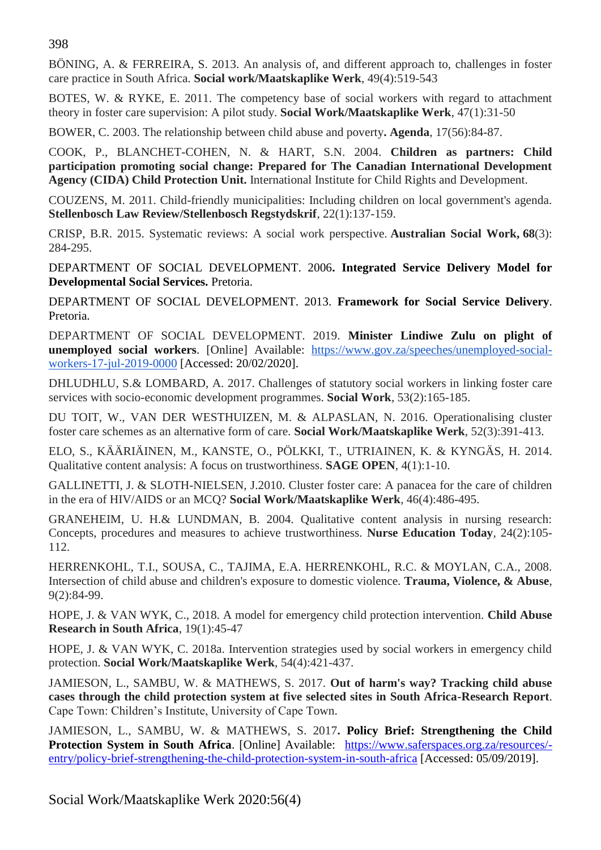398

BÖNING, A. & FERREIRA, S. 2013. An analysis of, and different approach to, challenges in foster care practice in South Africa. **Social work/Maatskaplike Werk**, 49(4):519-543

BOTES, W. & RYKE, E. 2011. The competency base of social workers with regard to attachment theory in foster care supervision: A pilot study. **Social Work/Maatskaplike Werk**, 47(1):31-50

BOWER, C. 2003. The relationship between child abuse and poverty**. Agenda**, 17(56):84-87.

COOK, P., BLANCHET-COHEN, N. & HART, S.N. 2004. **Children as partners: Child participation promoting social change: Prepared for The Canadian International Development Agency (CIDA) Child Protection Unit.** International Institute for Child Rights and Development.

COUZENS, M. 2011. Child-friendly municipalities: Including children on local government's agenda. **Stellenbosch Law Review/Stellenbosch Regstydskrif**, 22(1):137-159.

CRISP, B.R. 2015. Systematic reviews: A social work perspective. **Australian Social Work, 68**(3): 284-295.

DEPARTMENT OF SOCIAL DEVELOPMENT. 2006**. Integrated Service Delivery Model for Developmental Social Services.** Pretoria.

DEPARTMENT OF SOCIAL DEVELOPMENT. 2013. **Framework for Social Service Delivery**. Pretoria.

DEPARTMENT OF SOCIAL DEVELOPMENT. 2019. **Minister Lindiwe Zulu on plight of unemployed social workers**. [Online] Available: [https://www.gov.za/speeches/unemployed-social](https://www.gov.za/speeches/unemployed-social-workers-17-jul-2019-0000)[workers-17-jul-2019-0000](https://www.gov.za/speeches/unemployed-social-workers-17-jul-2019-0000) [Accessed: 20/02/2020].

DHLUDHLU, S.& LOMBARD, A. 2017. Challenges of statutory social workers in linking foster care services with socio-economic development programmes. **Social Work**, 53(2):165-185.

DU TOIT, W., VAN DER WESTHUIZEN, M. & ALPASLAN, N. 2016. Operationalising cluster foster care schemes as an alternative form of care. **Social Work/Maatskaplike Werk**, 52(3):391-413.

ELO, S., KÄÄRIÄINEN, M., KANSTE, O., PÖLKKI, T., UTRIAINEN, K. & KYNGÄS, H. 2014. Qualitative content analysis: A focus on trustworthiness. **SAGE OPEN**, 4(1):1-10.

GALLINETTI, J. & SLOTH-NIELSEN, J.2010. Cluster foster care: A panacea for the care of children in the era of HIV/AIDS or an MCQ? **Social Work/Maatskaplike Werk**, 46(4):486-495.

GRANEHEIM, U. H.& LUNDMAN, B. 2004. Qualitative content analysis in nursing research: Concepts, procedures and measures to achieve trustworthiness. **Nurse Education Today***,* 24(2):105- 112.

HERRENKOHL, T.I., SOUSA, C., TAJIMA, E.A. HERRENKOHL, R.C. & MOYLAN, C.A., 2008. Intersection of child abuse and children's exposure to domestic violence. **Trauma, Violence, & Abuse**, 9(2):84-99.

HOPE, J. & VAN WYK, C., 2018. A model for emergency child protection intervention. **Child Abuse Research in South Africa**, 19(1):45-47

HOPE, J. & VAN WYK, C. 2018a. Intervention strategies used by social workers in emergency child protection. **Social Work/Maatskaplike Werk**, 54(4):421-437.

JAMIESON, L., SAMBU, W. & MATHEWS, S. 2017. **Out of harm's way? Tracking child abuse cases through the child protection system at five selected sites in South Africa-Research Report**. Cape Town: Children's Institute, University of Cape Town.

JAMIESON, L., SAMBU, W. & MATHEWS, S. 2017**. Policy Brief: Strengthening the Child Protection System in South Africa**. [Online] Available: [https://www.saferspaces.org.za/resources/](https://www.saferspaces.org.za/resources/entry/policy-brief-strengthening-the-child-protection-system-in-south-africa) [entry/policy-brief-strengthening-the-child-protection-system-in-south-africa](https://www.saferspaces.org.za/resources/entry/policy-brief-strengthening-the-child-protection-system-in-south-africa) [Accessed: 05/09/2019].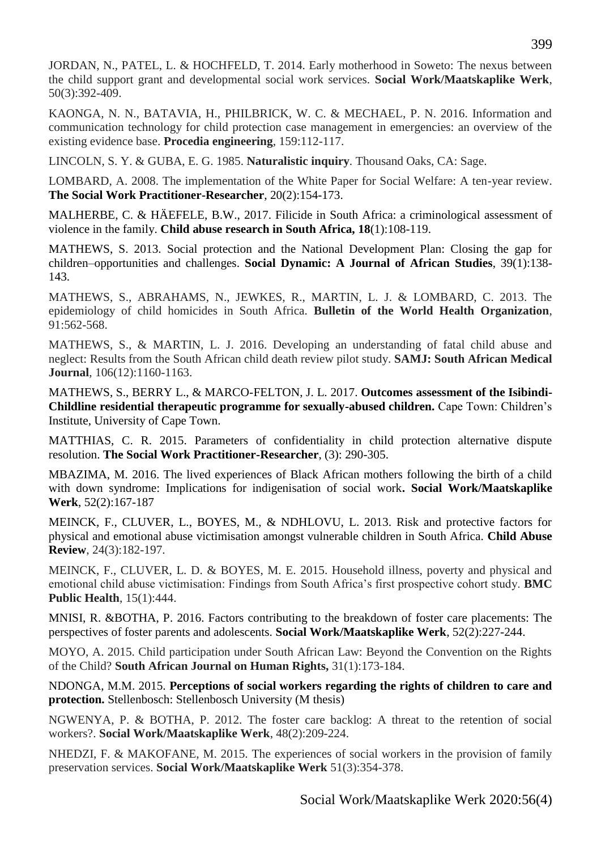KAONGA, N. N., BATAVIA, H., PHILBRICK, W. C. & MECHAEL, P. N. 2016. Information and communication technology for child protection case management in emergencies: an overview of the existing evidence base. **Procedia engineering**, 159:112-117.

LINCOLN, S. Y. & GUBA, E. G. 1985. **Naturalistic inquiry***.* Thousand Oaks, CA: Sage.

LOMBARD, A. 2008. The implementation of the White Paper for Social Welfare: A ten-year review. **The Social Work Practitioner-Researcher**, 20(2):154-173.

MALHERBE, C. & HÄEFELE, B.W., 2017. Filicide in South Africa: a criminological assessment of violence in the family. **Child abuse research in South Africa, 18**(1):108-119.

MATHEWS, S. 2013. Social protection and the National Development Plan: Closing the gap for children–opportunities and challenges. **Social Dynamic: A Journal of African Studies**, 39(1):138- 143.

MATHEWS, S., ABRAHAMS, N., JEWKES, R., MARTIN, L. J. & LOMBARD, C. 2013. The epidemiology of child homicides in South Africa. **Bulletin of the World Health Organization**, 91:562-568.

MATHEWS, S., & MARTIN, L. J. 2016. Developing an understanding of fatal child abuse and neglect: Results from the South African child death review pilot study. **SAMJ: South African Medical Journal**, 106(12):1160-1163.

MATHEWS, S., BERRY L., & MARCO-FELTON, J. L. 2017. **Outcomes assessment of the Isibindi-Childline residential therapeutic programme for sexually-abused children.** Cape Town: Children's Institute, University of Cape Town.

MATTHIAS, C. R. 2015. Parameters of confidentiality in child protection alternative dispute resolution. **The Social Work Practitioner-Researcher**, (3): 290-305.

MBAZIMA, M. 2016. The lived experiences of Black African mothers following the birth of a child with down syndrome: Implications for indigenisation of social work**. Social Work/Maatskaplike Werk**, 52(2):167-187

MEINCK, F., CLUVER, L., BOYES, M., & NDHLOVU, L. 2013. Risk and protective factors for physical and emotional abuse victimisation amongst vulnerable children in South Africa. **Child Abuse Review**, 24(3):182-197.

MEINCK, F., CLUVER, L. D. & BOYES, M. E. 2015. Household illness, poverty and physical and emotional child abuse victimisation: Findings from South Africa's first prospective cohort study. **BMC Public Health**, 15(1):444.

MNISI, R. &BOTHA, P. 2016. Factors contributing to the breakdown of foster care placements: The perspectives of foster parents and adolescents. **Social Work/Maatskaplike Werk**, 52(2):227-244.

MOYO, A. 2015. Child participation under South African Law: Beyond the Convention on the Rights of the Child? **South African Journal on Human Rights,** 31(1):173-184.

NDONGA, M.M. 2015. **Perceptions of social workers regarding the rights of children to care and protection.** Stellenbosch: Stellenbosch University (M thesis)

NGWENYA, P. & BOTHA, P. 2012. The foster care backlog: A threat to the retention of social workers?. **Social Work/Maatskaplike Werk**, 48(2):209-224.

NHEDZI, F. & MAKOFANE, M. 2015. The experiences of social workers in the provision of family preservation services. **Social Work/Maatskaplike Werk** 51(3):354-378.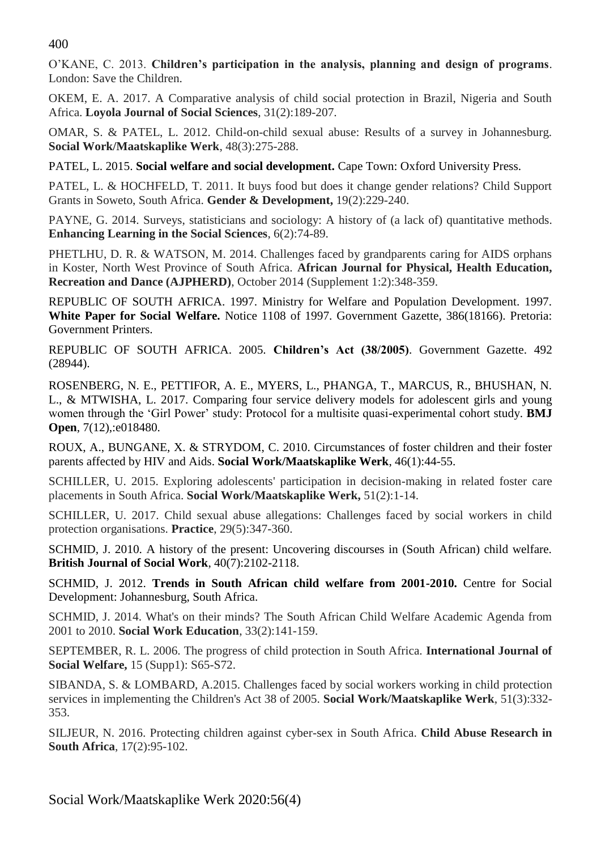400

O'KANE, C. 2013. **Children's participation in the analysis, planning and design of programs**. London: Save the Children.

OKEM, E. A. 2017. A Comparative analysis of child social protection in Brazil, Nigeria and South Africa. **Loyola Journal of Social Sciences**, 31(2):189-207.

OMAR, S. & PATEL, L. 2012. Child-on-child sexual abuse: Results of a survey in Johannesburg. **Social Work/Maatskaplike Werk**, 48(3):275-288.

PATEL, L. 2015. **Social welfare and social development.** Cape Town: Oxford University Press.

PATEL, L. & HOCHFELD, T. 2011. It buys food but does it change gender relations? Child Support Grants in Soweto, South Africa. **Gender & Development,** 19(2):229-240.

PAYNE, G. 2014. Surveys, statisticians and sociology: A history of (a lack of) quantitative methods. **Enhancing Learning in the Social Sciences**, 6(2):74-89.

PHETLHU, D. R. & WATSON, M. 2014. Challenges faced by grandparents caring for AIDS orphans in Koster, North West Province of South Africa. **African Journal for Physical, Health Education, Recreation and Dance (AJPHERD)**, October 2014 (Supplement 1:2):348-359.

REPUBLIC OF SOUTH AFRICA. 1997. Ministry for Welfare and Population Development. 1997. **White Paper for Social Welfare.** Notice 1108 of 1997. Government Gazette, 386(18166). Pretoria: Government Printers.

REPUBLIC OF SOUTH AFRICA. 2005. **Children's Act (38/2005)**. Government Gazette. 492 (28944).

ROSENBERG, N. E., PETTIFOR, A. E., MYERS, L., PHANGA, T., MARCUS, R., BHUSHAN, N. L., & MTWISHA, L. 2017. Comparing four service delivery models for adolescent girls and young women through the 'Girl Power' study: Protocol for a multisite quasi-experimental cohort study. **BMJ Open**, 7(12),:e018480.

ROUX, A., BUNGANE, X. & STRYDOM, C. 2010. Circumstances of foster children and their foster parents affected by HIV and Aids. **Social Work/Maatskaplike Werk**, 46(1):44-55.

SCHILLER, U. 2015. Exploring adolescents' participation in decision-making in related foster care placements in South Africa. **Social Work/Maatskaplike Werk,** 51(2):1-14.

SCHILLER, U. 2017. Child sexual abuse allegations: Challenges faced by social workers in child protection organisations. **Practice**, 29(5):347-360.

SCHMID, J. 2010. A history of the present: Uncovering discourses in (South African) child welfare. **British Journal of Social Work**, 40(7):2102-2118.

SCHMID, J. 2012. **Trends in South African child welfare from 2001-2010.** Centre for Social Development: Johannesburg, South Africa.

SCHMID, J. 2014. What's on their minds? The South African Child Welfare Academic Agenda from 2001 to 2010. **Social Work Education**, 33(2):141-159.

SEPTEMBER, R. L. 2006. The progress of child protection in South Africa. **International Journal of Social Welfare,** 15 (Supp1): S65-S72.

SIBANDA, S. & LOMBARD, A.2015. Challenges faced by social workers working in child protection services in implementing the Children's Act 38 of 2005. **Social Work/Maatskaplike Werk**, 51(3):332- 353.

SILJEUR, N. 2016. Protecting children against cyber-sex in South Africa. **Child Abuse Research in South Africa**, 17(2):95-102.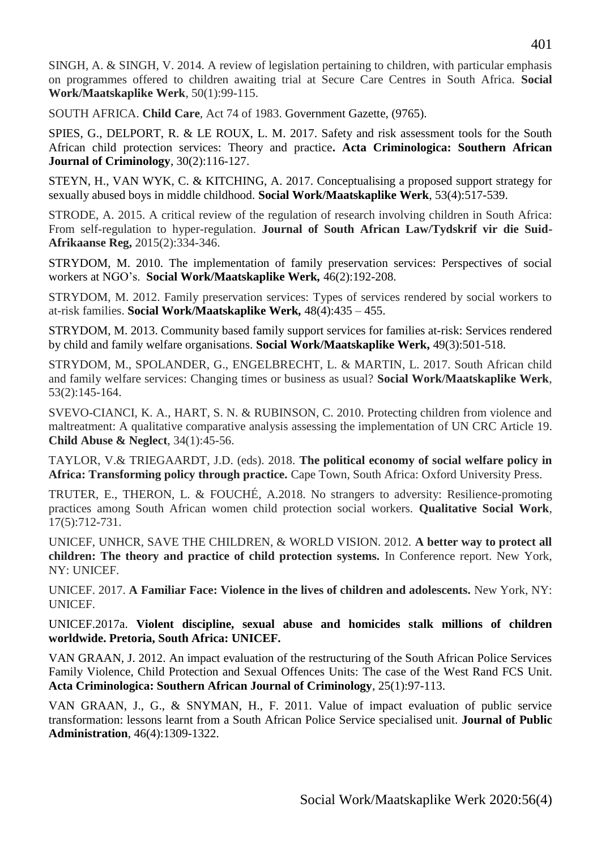SINGH, A. & SINGH, V. 2014. A review of legislation pertaining to children, with particular emphasis on programmes offered to children awaiting trial at Secure Care Centres in South Africa. **Social Work/Maatskaplike Werk**, 50(1):99-115.

SOUTH AFRICA. **Child Care**, Act 74 of 1983. Government Gazette, (9765).

SPIES, G., DELPORT, R. & LE ROUX, L. M. 2017. Safety and risk assessment tools for the South African child protection services: Theory and practice**. Acta Criminologica: Southern African Journal of Criminology**, 30(2):116-127.

STEYN, H., VAN WYK, C. & KITCHING, A. 2017. Conceptualising a proposed support strategy for sexually abused boys in middle childhood. **Social Work/Maatskaplike Werk**, 53(4):517-539.

STRODE, A. 2015. A critical review of the regulation of research involving children in South Africa: From self-regulation to hyper-regulation. **Journal of South African Law/Tydskrif vir die Suid-Afrikaanse Reg,** 2015(2):334-346.

STRYDOM, M. 2010. The implementation of family preservation services: Perspectives of social workers at NGO's. **Social Work/Maatskaplike Werk***,* 46(2):192-208.

STRYDOM, M. 2012. Family preservation services: Types of services rendered by social workers to at-risk families. **Social Work/Maatskaplike Werk***,* 48(4):435 – 455.

STRYDOM, M. 2013. Community based family support services for families at-risk: Services rendered by child and family welfare organisations. **Social Work/Maatskaplike Werk,** 49(3):501-518.

STRYDOM, M., SPOLANDER, G., ENGELBRECHT, L. & MARTIN, L. 2017. South African child and family welfare services: Changing times or business as usual? **Social Work/Maatskaplike Werk**, 53(2):145-164.

SVEVO-CIANCI, K. A., HART, S. N. & RUBINSON, C. 2010. Protecting children from violence and maltreatment: A qualitative comparative analysis assessing the implementation of UN CRC Article 19. **Child Abuse & Neglect**, 34(1):45-56.

TAYLOR, V.& TRIEGAARDT, J.D. (eds). 2018. **The political economy of social welfare policy in Africa: Transforming policy through practice.** Cape Town, South Africa: Oxford University Press.

TRUTER, E., THERON, L. & FOUCHÉ, A.2018. No strangers to adversity: Resilience-promoting practices among South African women child protection social workers. **Qualitative Social Work**, 17(5):712-731.

UNICEF, UNHCR, SAVE THE CHILDREN, & WORLD VISION. 2012. **A better way to protect all children: The theory and practice of child protection systems.** In Conference report. New York, NY: UNICEF.

UNICEF. 2017. **A Familiar Face: Violence in the lives of children and adolescents.** New York, NY: UNICEF.

UNICEF.2017a. **Violent discipline, sexual abuse and homicides stalk millions of children worldwide. Pretoria, South Africa: UNICEF.** 

VAN GRAAN, J. 2012. An impact evaluation of the restructuring of the South African Police Services Family Violence, Child Protection and Sexual Offences Units: The case of the West Rand FCS Unit. **Acta Criminologica: Southern African Journal of Criminology**, 25(1):97-113.

VAN GRAAN, J., G., & SNYMAN, H., F. 2011. Value of impact evaluation of public service transformation: lessons learnt from a South African Police Service specialised unit. **Journal of Public Administration**, 46(4):1309-1322.